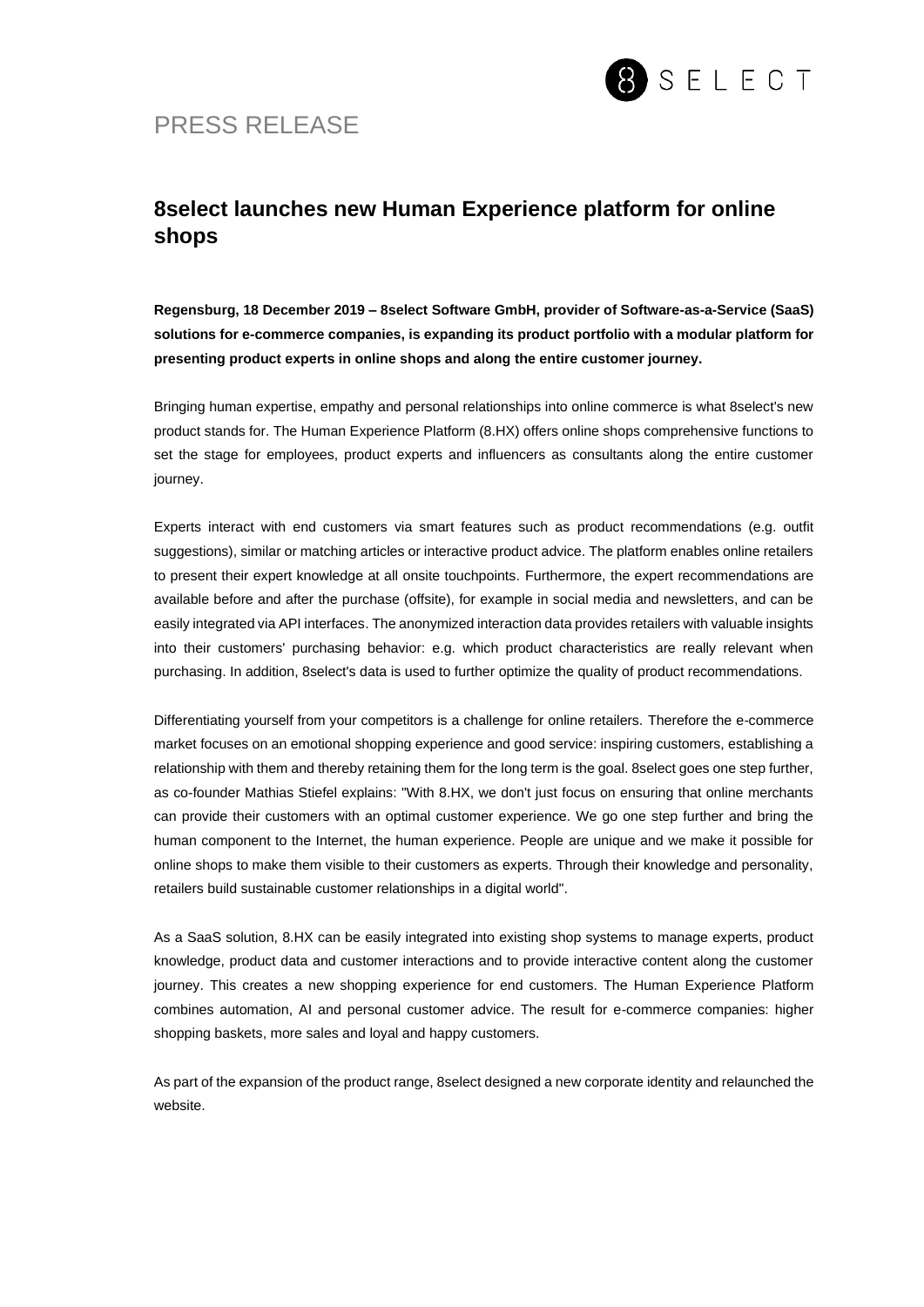

## PRESS RELEASE

## **8select launches new Human Experience platform for online shops**

**Regensburg, 18 December 2019 – 8select Software GmbH, provider of Software-as-a-Service (SaaS) solutions for e-commerce companies, is expanding its product portfolio with a modular platform for presenting product experts in online shops and along the entire customer journey.**

Bringing human expertise, empathy and personal relationships into online commerce is what 8select's new product stands for. The Human Experience Platform (8.HX) offers online shops comprehensive functions to set the stage for employees, product experts and influencers as consultants along the entire customer journey.

Experts interact with end customers via smart features such as product recommendations (e.g. outfit suggestions), similar or matching articles or interactive product advice. The platform enables online retailers to present their expert knowledge at all onsite touchpoints. Furthermore, the expert recommendations are available before and after the purchase (offsite), for example in social media and newsletters, and can be easily integrated via API interfaces. The anonymized interaction data provides retailers with valuable insights into their customers' purchasing behavior: e.g. which product characteristics are really relevant when purchasing. In addition, 8select's data is used to further optimize the quality of product recommendations.

Differentiating yourself from your competitors is a challenge for online retailers. Therefore the e-commerce market focuses on an emotional shopping experience and good service: inspiring customers, establishing a relationship with them and thereby retaining them for the long term is the goal. 8select goes one step further, as co-founder Mathias Stiefel explains: "With 8.HX, we don't just focus on ensuring that online merchants can provide their customers with an optimal customer experience. We go one step further and bring the human component to the Internet, the human experience. People are unique and we make it possible for online shops to make them visible to their customers as experts. Through their knowledge and personality, retailers build sustainable customer relationships in a digital world".

As a SaaS solution, 8.HX can be easily integrated into existing shop systems to manage experts, product knowledge, product data and customer interactions and to provide interactive content along the customer journey. This creates a new shopping experience for end customers. The Human Experience Platform combines automation, AI and personal customer advice. The result for e-commerce companies: higher shopping baskets, more sales and loyal and happy customers.

As part of the expansion of the product range, 8select designed a new corporate identity and relaunched the website.